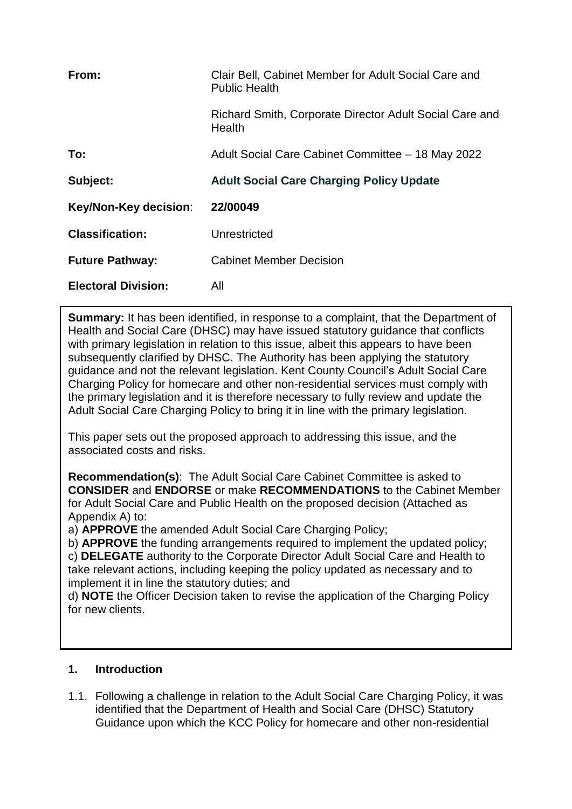| From:                      | Clair Bell, Cabinet Member for Adult Social Care and<br><b>Public Health</b> |
|----------------------------|------------------------------------------------------------------------------|
|                            | Richard Smith, Corporate Director Adult Social Care and<br>Health            |
| To:                        | Adult Social Care Cabinet Committee - 18 May 2022                            |
| Subject:                   | <b>Adult Social Care Charging Policy Update</b>                              |
| Key/Non-Key decision:      | 22/00049                                                                     |
| <b>Classification:</b>     | Unrestricted                                                                 |
| <b>Future Pathway:</b>     | <b>Cabinet Member Decision</b>                                               |
| <b>Electoral Division:</b> | All                                                                          |

**Summary:** It has been identified, in response to a complaint, that the Department of Health and Social Care (DHSC) may have issued statutory guidance that conflicts with primary legislation in relation to this issue, albeit this appears to have been subsequently clarified by DHSC. The Authority has been applying the statutory guidance and not the relevant legislation. Kent County Council's Adult Social Care Charging Policy for homecare and other non-residential services must comply with the primary legislation and it is therefore necessary to fully review and update the Adult Social Care Charging Policy to bring it in line with the primary legislation.

This paper sets out the proposed approach to addressing this issue, and the associated costs and risks.

**Recommendation(s)**: The Adult Social Care Cabinet Committee is asked to **CONSIDER** and **ENDORSE** or make **RECOMMENDATIONS** to the Cabinet Member for Adult Social Care and Public Health on the proposed decision (Attached as Appendix A) to:

a) **APPROVE** the amended Adult Social Care Charging Policy;

b) **APPROVE** the funding arrangements required to implement the updated policy; c) **DELEGATE** authority to the Corporate Director Adult Social Care and Health to take relevant actions, including keeping the policy updated as necessary and to implement it in line the statutory duties; and

d) **NOTE** the Officer Decision taken to revise the application of the Charging Policy for new clients.

## **1. Introduction**

1.1. Following a challenge in relation to the Adult Social Care Charging Policy, it was identified that the Department of Health and Social Care (DHSC) Statutory Guidance upon which the KCC Policy for homecare and other non-residential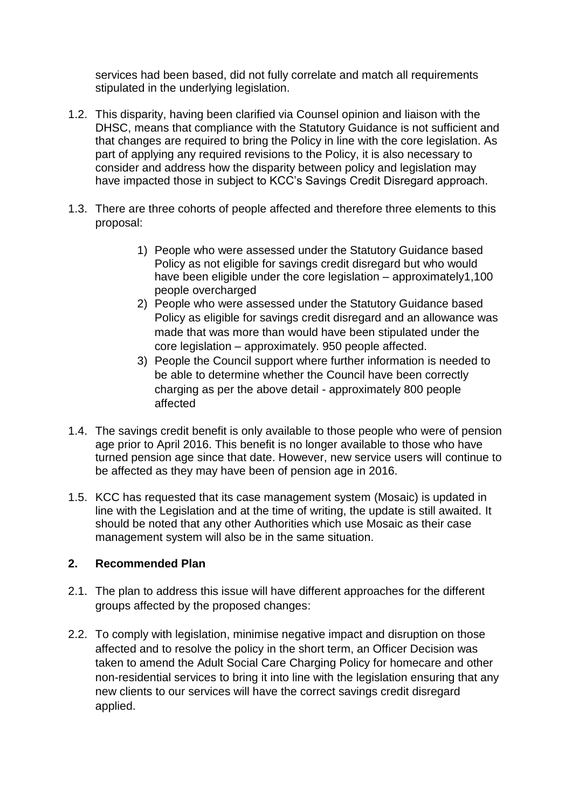services had been based, did not fully correlate and match all requirements stipulated in the underlying legislation.

- 1.2. This disparity, having been clarified via Counsel opinion and liaison with the DHSC, means that compliance with the Statutory Guidance is not sufficient and that changes are required to bring the Policy in line with the core legislation. As part of applying any required revisions to the Policy, it is also necessary to consider and address how the disparity between policy and legislation may have impacted those in subject to KCC's Savings Credit Disregard approach.
- 1.3. There are three cohorts of people affected and therefore three elements to this proposal:
	- 1) People who were assessed under the Statutory Guidance based Policy as not eligible for savings credit disregard but who would have been eligible under the core legislation – approximately1,100 people overcharged
	- 2) People who were assessed under the Statutory Guidance based Policy as eligible for savings credit disregard and an allowance was made that was more than would have been stipulated under the core legislation – approximately. 950 people affected.
	- 3) People the Council support where further information is needed to be able to determine whether the Council have been correctly charging as per the above detail - approximately 800 people affected
- 1.4. The savings credit benefit is only available to those people who were of pension age prior to April 2016. This benefit is no longer available to those who have turned pension age since that date. However, new service users will continue to be affected as they may have been of pension age in 2016.
- 1.5. KCC has requested that its case management system (Mosaic) is updated in line with the Legislation and at the time of writing, the update is still awaited. It should be noted that any other Authorities which use Mosaic as their case management system will also be in the same situation.

## **2. Recommended Plan**

- 2.1. The plan to address this issue will have different approaches for the different groups affected by the proposed changes:
- 2.2. To comply with legislation, minimise negative impact and disruption on those affected and to resolve the policy in the short term, an Officer Decision was taken to amend the Adult Social Care Charging Policy for homecare and other non-residential services to bring it into line with the legislation ensuring that any new clients to our services will have the correct savings credit disregard applied.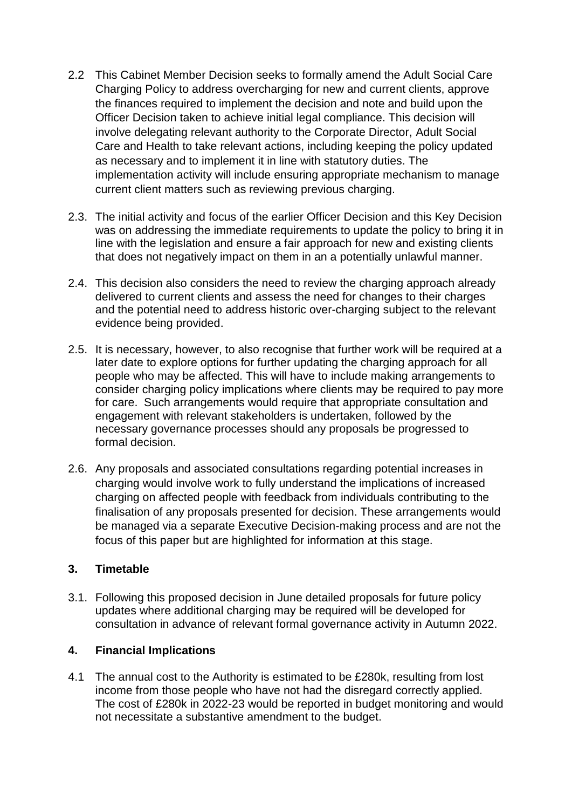- 2.2 This Cabinet Member Decision seeks to formally amend the Adult Social Care Charging Policy to address overcharging for new and current clients, approve the finances required to implement the decision and note and build upon the Officer Decision taken to achieve initial legal compliance. This decision will involve delegating relevant authority to the Corporate Director, Adult Social Care and Health to take relevant actions, including keeping the policy updated as necessary and to implement it in line with statutory duties. The implementation activity will include ensuring appropriate mechanism to manage current client matters such as reviewing previous charging.
- 2.3. The initial activity and focus of the earlier Officer Decision and this Key Decision was on addressing the immediate requirements to update the policy to bring it in line with the legislation and ensure a fair approach for new and existing clients that does not negatively impact on them in an a potentially unlawful manner.
- 2.4. This decision also considers the need to review the charging approach already delivered to current clients and assess the need for changes to their charges and the potential need to address historic over-charging subject to the relevant evidence being provided.
- 2.5. It is necessary, however, to also recognise that further work will be required at a later date to explore options for further updating the charging approach for all people who may be affected. This will have to include making arrangements to consider charging policy implications where clients may be required to pay more for care. Such arrangements would require that appropriate consultation and engagement with relevant stakeholders is undertaken, followed by the necessary governance processes should any proposals be progressed to formal decision.
- 2.6. Any proposals and associated consultations regarding potential increases in charging would involve work to fully understand the implications of increased charging on affected people with feedback from individuals contributing to the finalisation of any proposals presented for decision. These arrangements would be managed via a separate Executive Decision-making process and are not the focus of this paper but are highlighted for information at this stage.

## **3. Timetable**

3.1. Following this proposed decision in June detailed proposals for future policy updates where additional charging may be required will be developed for consultation in advance of relevant formal governance activity in Autumn 2022.

## **4. Financial Implications**

4.1 The annual cost to the Authority is estimated to be £280k, resulting from lost income from those people who have not had the disregard correctly applied. The cost of £280k in 2022-23 would be reported in budget monitoring and would not necessitate a substantive amendment to the budget.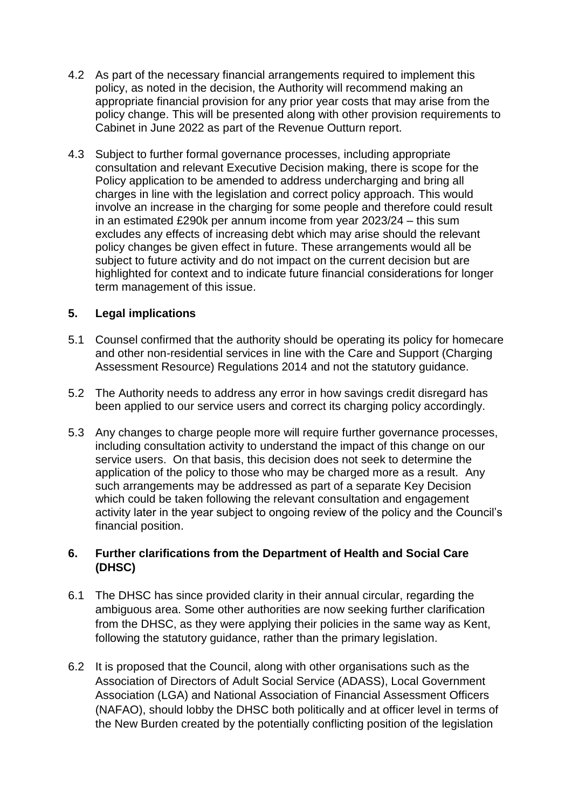- 4.2 As part of the necessary financial arrangements required to implement this policy, as noted in the decision, the Authority will recommend making an appropriate financial provision for any prior year costs that may arise from the policy change. This will be presented along with other provision requirements to Cabinet in June 2022 as part of the Revenue Outturn report.
- 4.3 Subject to further formal governance processes, including appropriate consultation and relevant Executive Decision making, there is scope for the Policy application to be amended to address undercharging and bring all charges in line with the legislation and correct policy approach. This would involve an increase in the charging for some people and therefore could result in an estimated £290k per annum income from year 2023/24 – this sum excludes any effects of increasing debt which may arise should the relevant policy changes be given effect in future. These arrangements would all be subject to future activity and do not impact on the current decision but are highlighted for context and to indicate future financial considerations for longer term management of this issue.

## **5. Legal implications**

- 5.1 Counsel confirmed that the authority should be operating its policy for homecare and other non-residential services in line with the Care and Support (Charging Assessment Resource) Regulations 2014 and not the statutory guidance.
- 5.2 The Authority needs to address any error in how savings credit disregard has been applied to our service users and correct its charging policy accordingly.
- 5.3 Any changes to charge people more will require further governance processes, including consultation activity to understand the impact of this change on our service users. On that basis, this decision does not seek to determine the application of the policy to those who may be charged more as a result. Any such arrangements may be addressed as part of a separate Key Decision which could be taken following the relevant consultation and engagement activity later in the year subject to ongoing review of the policy and the Council's financial position.

## **6. Further clarifications from the Department of Health and Social Care (DHSC)**

- 6.1 The DHSC has since provided clarity in their annual circular, regarding the ambiguous area. Some other authorities are now seeking further clarification from the DHSC, as they were applying their policies in the same way as Kent, following the statutory quidance, rather than the primary legislation.
- 6.2 It is proposed that the Council, along with other organisations such as the Association of Directors of Adult Social Service (ADASS), Local Government Association (LGA) and National Association of Financial Assessment Officers (NAFAO), should lobby the DHSC both politically and at officer level in terms of the New Burden created by the potentially conflicting position of the legislation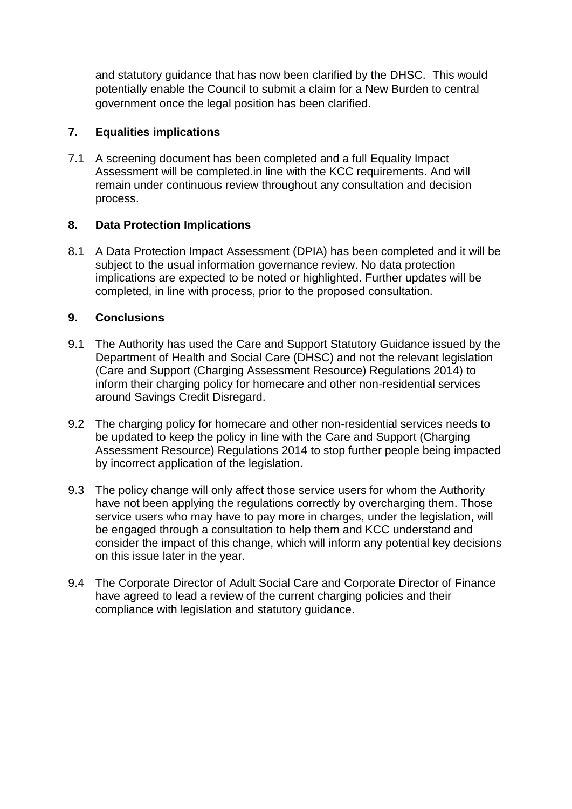and statutory guidance that has now been clarified by the DHSC. This would potentially enable the Council to submit a claim for a New Burden to central government once the legal position has been clarified.

## **7. Equalities implications**

7.1 A screening document has been completed and a full Equality Impact Assessment will be completed.in line with the KCC requirements. And will remain under continuous review throughout any consultation and decision process.

# **8. Data Protection Implications**

8.1 A Data Protection Impact Assessment (DPIA) has been completed and it will be subject to the usual information governance review. No data protection implications are expected to be noted or highlighted. Further updates will be completed, in line with process, prior to the proposed consultation.

# **9. Conclusions**

- 9.1 The Authority has used the Care and Support Statutory Guidance issued by the Department of Health and Social Care (DHSC) and not the relevant legislation (Care and Support (Charging Assessment Resource) Regulations 2014) to inform their charging policy for homecare and other non-residential services around Savings Credit Disregard.
- 9.2 The charging policy for homecare and other non-residential services needs to be updated to keep the policy in line with the Care and Support (Charging Assessment Resource) Regulations 2014 to stop further people being impacted by incorrect application of the legislation.
- 9.3 The policy change will only affect those service users for whom the Authority have not been applying the regulations correctly by overcharging them. Those service users who may have to pay more in charges, under the legislation, will be engaged through a consultation to help them and KCC understand and consider the impact of this change, which will inform any potential key decisions on this issue later in the year.
- 9.4 The Corporate Director of Adult Social Care and Corporate Director of Finance have agreed to lead a review of the current charging policies and their compliance with legislation and statutory guidance.